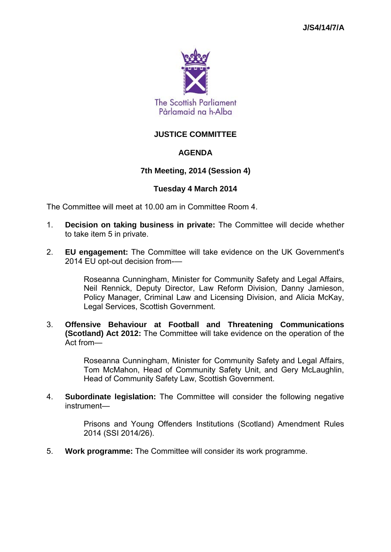

# **JUSTICE COMMITTEE**

## **AGENDA**

## **7th Meeting, 2014 (Session 4)**

## **Tuesday 4 March 2014**

The Committee will meet at 10.00 am in Committee Room 4.

- 1. **Decision on taking business in private:** The Committee will decide whether to take item 5 in private.
- 2. **EU engagement:** The Committee will take evidence on the UK Government's 2014 EU opt-out decision from-—

Roseanna Cunningham, Minister for Community Safety and Legal Affairs, Neil Rennick, Deputy Director, Law Reform Division, Danny Jamieson, Policy Manager, Criminal Law and Licensing Division, and Alicia McKay, Legal Services, Scottish Government.

3. **Offensive Behaviour at Football and Threatening Communications (Scotland) Act 2012:** The Committee will take evidence on the operation of the Act from—

> Roseanna Cunningham, Minister for Community Safety and Legal Affairs, Tom McMahon, Head of Community Safety Unit, and Gery McLaughlin, Head of Community Safety Law, Scottish Government.

4. **Subordinate legislation:** The Committee will consider the following negative instrument—

> Prisons and Young Offenders Institutions (Scotland) Amendment Rules 2014 (SSI 2014/26).

5. **Work programme:** The Committee will consider its work programme.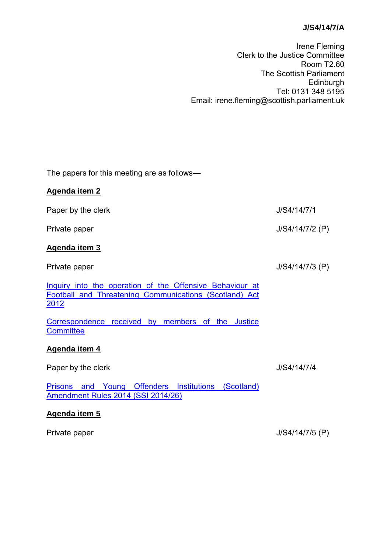# **J/S4/14/7/A**

Irene Fleming Clerk to the Justice Committee Room T2.60 The Scottish Parliament Edinburgh Tel: 0131 348 5195 Email: irene.fleming@scottish.parliament.uk

The papers for this meeting are as follows—

| <b>Agenda item 2</b>                                                                                                                       |                   |
|--------------------------------------------------------------------------------------------------------------------------------------------|-------------------|
| Paper by the clerk                                                                                                                         | J/S4/14/7/1       |
| Private paper                                                                                                                              | $J/S4/14/7/2$ (P) |
| <b>Agenda item 3</b>                                                                                                                       |                   |
| Private paper                                                                                                                              | $J/S4/14/7/3$ (P) |
| Inquiry into the operation of the Offensive Behaviour at<br><b>Football and Threatening Communications (Scotland) Act</b><br><u> 2012 </u> |                   |
| Correspondence received by members of the Justice<br><b>Committee</b>                                                                      |                   |
| Agenda item 4                                                                                                                              |                   |
| Paper by the clerk                                                                                                                         | J/S4/14/7/4       |
| <b>Prisons and Young Offenders Institutions (Scotland)</b><br>Amendment Rules 2014 (SSI 2014/26)                                           |                   |
| Agenda item 5                                                                                                                              |                   |

Private paper J/S4/14/7/5 (P)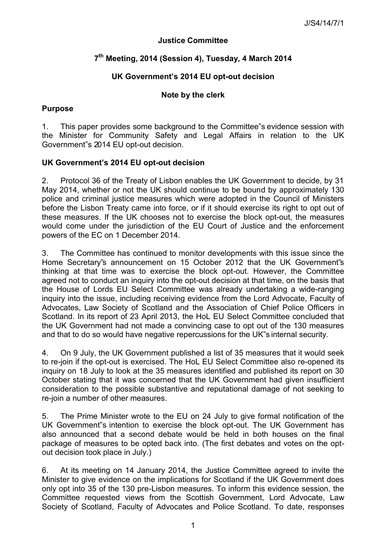## **Justice Committee**

# **7 th Meeting, 2014 (Session 4), Tuesday, 4 March 2014**

# **UK Government's 2014 EU opt-out decision**

# **Note by the clerk**

## **Purpose**

1. This paper provides some background to the Committee"s evidence session with the Minister for Community Safety and Legal Affairs in relation to the UK Government"s 2014 EU opt-out decision.

## **UK Government's 2014 EU opt-out decision**

2. Protocol 36 of the Treaty of Lisbon enables the UK Government to decide, by 31 May 2014, whether or not the UK should continue to be bound by approximately 130 police and criminal justice measures which were adopted in the Council of Ministers before the Lisbon Treaty came into force, or if it should exercise its right to opt out of these measures. If the UK chooses not to exercise the block opt-out, the measures would come under the jurisdiction of the EU Court of Justice and the enforcement powers of the EC on 1 December 2014.

3. The Committee has continued to monitor developments with this issue since the Home Secretary"s announcement on 15 October 2012 that the UK Government"s thinking at that time was to exercise the block opt-out. However, the Committee agreed not to conduct an inquiry into the opt-out decision at that time, on the basis that the House of Lords EU Select Committee was already undertaking a wide-ranging inquiry into the issue, including receiving evidence from the Lord Advocate, Faculty of Advocates, Law Society of Scotland and the Association of Chief Police Officers in Scotland. In its report of 23 April 2013, the HoL EU Select Committee concluded that the UK Government had not made a convincing case to opt out of the 130 measures and that to do so would have negative repercussions for the UK"s internal security.

4. On 9 July, the UK Government published a list of 35 measures that it would seek to re-join if the opt-out is exercised. The HoL EU Select Committee also re-opened its inquiry on 18 July to look at the 35 measures identified and published its report on 30 October stating that it was concerned that the UK Government had given insufficient consideration to the possible substantive and reputational damage of not seeking to re-join a number of other measures.

5. The Prime Minister wrote to the EU on 24 July to give formal notification of the UK Government"s intention to exercise the block opt-out. The UK Government has also announced that a second debate would be held in both houses on the final package of measures to be opted back into. (The first debates and votes on the optout decision took place in July.)

6. At its meeting on 14 January 2014, the Justice Committee agreed to invite the Minister to give evidence on the implications for Scotland if the UK Government does only opt into 35 of the 130 pre-Lisbon measures. To inform this evidence session, the Committee requested views from the Scottish Government, Lord Advocate, Law Society of Scotland, Faculty of Advocates and Police Scotland. To date, responses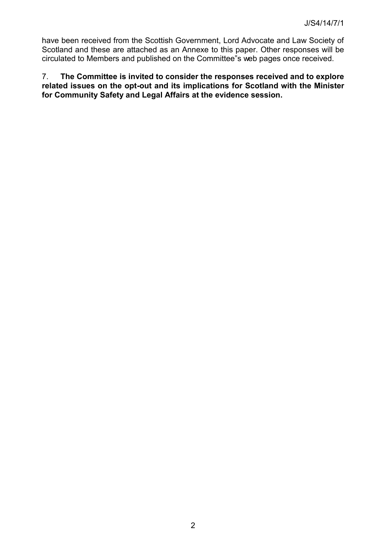have been received from the Scottish Government, Lord Advocate and Law Society of Scotland and these are attached as an Annexe to this paper. Other responses will be circulated to Members and published on the Committee"s web pages once received.

7. **The Committee is invited to consider the responses received and to explore related issues on the opt-out and its implications for Scotland with the Minister for Community Safety and Legal Affairs at the evidence session.**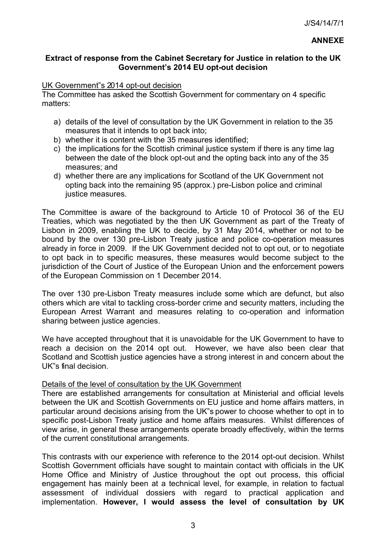## **Extract of response from the Cabinet Secretary for Justice in relation to the UK Government's 2014 EU opt-out decision**

#### UK Government"s 2014 opt-out decision

The Committee has asked the Scottish Government for commentary on 4 specific matters:

- a) details of the level of consultation by the UK Government in relation to the 35 measures that it intends to opt back into;
- b) whether it is content with the 35 measures identified;
- c) the implications for the Scottish criminal justice system if there is any time lag between the date of the block opt-out and the opting back into any of the 35 measures; and
- d) whether there are any implications for Scotland of the UK Government not opting back into the remaining 95 (approx.) pre-Lisbon police and criminal justice measures.

The Committee is aware of the background to Article 10 of Protocol 36 of the EU Treaties, which was negotiated by the then UK Government as part of the Treaty of Lisbon in 2009, enabling the UK to decide, by 31 May 2014, whether or not to be bound by the over 130 pre-Lisbon Treaty justice and police co-operation measures already in force in 2009. If the UK Government decided not to opt out, or to negotiate to opt back in to specific measures, these measures would become subject to the jurisdiction of the Court of Justice of the European Union and the enforcement powers of the European Commission on 1 December 2014.

The over 130 pre-Lisbon Treaty measures include some which are defunct, but also others which are vital to tackling cross-border crime and security matters, including the European Arrest Warrant and measures relating to co-operation and information sharing between justice agencies.

We have accepted throughout that it is unavoidable for the UK Government to have to reach a decision on the 2014 opt out. However, we have also been clear that Scotland and Scottish justice agencies have a strong interest in and concern about the UK"s final decision.

## Details of the level of consultation by the UK Government

There are established arrangements for consultation at Ministerial and official levels between the UK and Scottish Governments on EU justice and home affairs matters, in particular around decisions arising from the UK"s power to choose whether to opt in to specific post-Lisbon Treaty justice and home affairs measures. Whilst differences of view arise, in general these arrangements operate broadly effectively, within the terms of the current constitutional arrangements.

This contrasts with our experience with reference to the 2014 opt-out decision. Whilst Scottish Government officials have sought to maintain contact with officials in the UK Home Office and Ministry of Justice throughout the opt out process, this official engagement has mainly been at a technical level, for example, in relation to factual assessment of individual dossiers with regard to practical application and implementation. **However, I would assess the level of consultation by UK**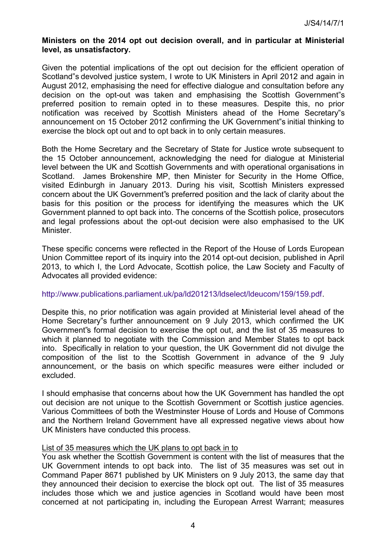#### **Ministers on the 2014 opt out decision overall, and in particular at Ministerial level, as unsatisfactory.**

Given the potential implications of the opt out decision for the efficient operation of Scotland"s devolved justice system, I wrote to UK Ministers in April 2012 and again in August 2012, emphasising the need for effective dialogue and consultation before any decision on the opt-out was taken and emphasising the Scottish Government"s preferred position to remain opted in to these measures. Despite this, no prior notification was received by Scottish Ministers ahead of the Home Secretary"s announcement on 15 October 2012 confirming the UK Government"s initial thinking to exercise the block opt out and to opt back in to only certain measures.

Both the Home Secretary and the Secretary of State for Justice wrote subsequent to the 15 October announcement, acknowledging the need for dialogue at Ministerial level between the UK and Scottish Governments and with operational organisations in Scotland. James Brokenshire MP, then Minister for Security in the Home Office, visited Edinburgh in January 2013. During his visit, Scottish Ministers expressed concern about the UK Government"s preferred position and the lack of clarity about the basis for this position or the process for identifying the measures which the UK Government planned to opt back into. The concerns of the Scottish police, prosecutors and legal professions about the opt-out decision were also emphasised to the UK Minister.

These specific concerns were reflected in the Report of the House of Lords European Union Committee report of its inquiry into the 2014 opt-out decision, published in April 2013, to which I, the Lord Advocate, Scottish police, the Law Society and Faculty of Advocates all provided evidence:

#### [http://www.publications.parliament.uk/pa/ld201213/ldselect/ldeucom/159/159.pdf.](http://www.publications.parliament.uk/pa/ld201213/ldselect/ldeucom/159/159.pdf)

Despite this, no prior notification was again provided at Ministerial level ahead of the Home Secretary"s further announcement on 9 July 2013, which confirmed the UK Government"s formal decision to exercise the opt out, and the list of 35 measures to which it planned to negotiate with the Commission and Member States to opt back into. Specifically in relation to your question, the UK Government did not divulge the composition of the list to the Scottish Government in advance of the 9 July announcement, or the basis on which specific measures were either included or excluded.

I should emphasise that concerns about how the UK Government has handled the opt out decision are not unique to the Scottish Government or Scottish justice agencies. Various Committees of both the Westminster House of Lords and House of Commons and the Northern Ireland Government have all expressed negative views about how UK Ministers have conducted this process.

#### List of 35 measures which the UK plans to opt back in to

You ask whether the Scottish Government is content with the list of measures that the UK Government intends to opt back into. The list of 35 measures was set out in Command Paper 8671 published by UK Ministers on 9 July 2013, the same day that they announced their decision to exercise the block opt out. The list of 35 measures includes those which we and justice agencies in Scotland would have been most concerned at not participating in, including the European Arrest Warrant; measures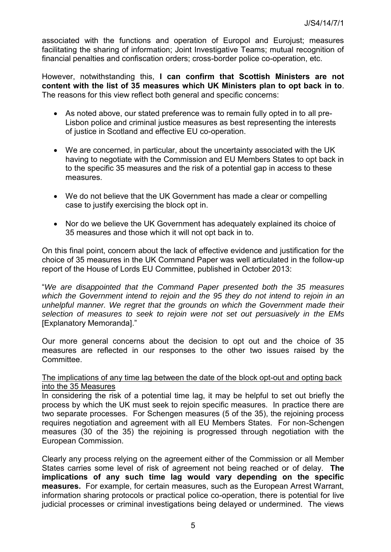associated with the functions and operation of Europol and Eurojust; measures facilitating the sharing of information; Joint Investigative Teams; mutual recognition of financial penalties and confiscation orders; cross-border police co-operation, etc.

However, notwithstanding this, **I can confirm that Scottish Ministers are not content with the list of 35 measures which UK Ministers plan to opt back in to**. The reasons for this view reflect both general and specific concerns:

- As noted above, our stated preference was to remain fully opted in to all pre-Lisbon police and criminal justice measures as best representing the interests of justice in Scotland and effective EU co-operation.
- We are concerned, in particular, about the uncertainty associated with the UK having to negotiate with the Commission and EU Members States to opt back in to the specific 35 measures and the risk of a potential gap in access to these measures.
- We do not believe that the UK Government has made a clear or compelling case to justify exercising the block opt in.
- Nor do we believe the UK Government has adequately explained its choice of 35 measures and those which it will not opt back in to.

On this final point, concern about the lack of effective evidence and justification for the choice of 35 measures in the UK Command Paper was well articulated in the follow-up report of the House of Lords EU Committee, published in October 2013:

"*We are disappointed that the Command Paper presented both the 35 measures which the Government intend to rejoin and the 95 they do not intend to rejoin in an unhelpful manner. We regret that the grounds on which the Government made their selection of measures to seek to rejoin were not set out persuasively in the EMs* [Explanatory Memoranda]."

Our more general concerns about the decision to opt out and the choice of 35 measures are reflected in our responses to the other two issues raised by the Committee.

#### The implications of any time lag between the date of the block opt-out and opting back into the 35 Measures

In considering the risk of a potential time lag, it may be helpful to set out briefly the process by which the UK must seek to rejoin specific measures. In practice there are two separate processes. For Schengen measures (5 of the 35), the rejoining process requires negotiation and agreement with all EU Members States. For non-Schengen measures (30 of the 35) the rejoining is progressed through negotiation with the European Commission.

Clearly any process relying on the agreement either of the Commission or all Member States carries some level of risk of agreement not being reached or of delay. **The implications of any such time lag would vary depending on the specific measures.** For example, for certain measures, such as the European Arrest Warrant, information sharing protocols or practical police co-operation, there is potential for live judicial processes or criminal investigations being delayed or undermined. The views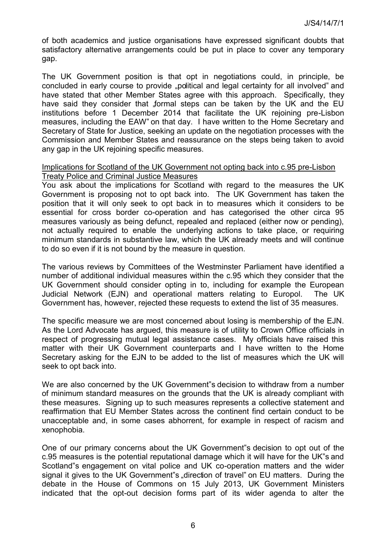of both academics and justice organisations have expressed significant doubts that satisfactory alternative arrangements could be put in place to cover any temporary gap.

The UK Government position is that opt in negotiations could, in principle, be concluded in early course to provide ... political and legal certainty for all involved" and have stated that other Member States agree with this approach. Specifically, they have said they consider that formal steps can be taken by the UK and the EU institutions before 1 December 2014 that facilitate the UK rejoining pre-Lisbon measures, including the EAW" on that day. I have written to the Home Secretary and Secretary of State for Justice, seeking an update on the negotiation processes with the Commission and Member States and reassurance on the steps being taken to avoid any gap in the UK rejoining specific measures.

#### Implications for Scotland of the UK Government not opting back into c.95 pre-Lisbon Treaty Police and Criminal Justice Measures

You ask about the implications for Scotland with regard to the measures the UK Government is proposing not to opt back into. The UK Government has taken the position that it will only seek to opt back in to measures which it considers to be essential for cross border co-operation and has categorised the other circa 95 measures variously as being defunct, repealed and replaced (either now or pending), not actually required to enable the underlying actions to take place, or requiring minimum standards in substantive law, which the UK already meets and will continue to do so even if it is not bound by the measure in question.

The various reviews by Committees of the Westminster Parliament have identified a number of additional individual measures within the c.95 which they consider that the UK Government should consider opting in to, including for example the European Judicial Network (EJN) and operational matters relating to Europol. The UK Government has, however, rejected these requests to extend the list of 35 measures.

The specific measure we are most concerned about losing is membership of the EJN. As the Lord Advocate has argued, this measure is of utility to Crown Office officials in respect of progressing mutual legal assistance cases. My officials have raised this matter with their UK Government counterparts and I have written to the Home Secretary asking for the EJN to be added to the list of measures which the UK will seek to opt back into.

We are also concerned by the UK Government"s decision to withdraw from a number of minimum standard measures on the grounds that the UK is already compliant with these measures. Signing up to such measures represents a collective statement and reaffirmation that EU Member States across the continent find certain conduct to be unacceptable and, in some cases abhorrent, for example in respect of racism and xenophobia.

One of our primary concerns about the UK Government"s decision to opt out of the c.95 measures is the potential reputational damage which it will have for the UK"s and Scotland"s engagement on vital police and UK co-operation matters and the wider signal it gives to the UK Government"s "direction of travel" on EU matters. During the debate in the House of Commons on 15 July 2013, UK Government Ministers indicated that the opt-out decision forms part of its wider agenda to alter the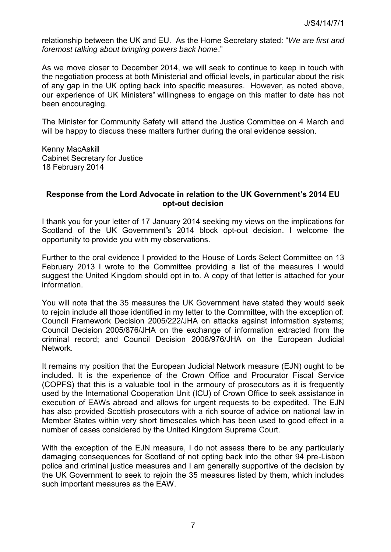relationship between the UK and EU. As the Home Secretary stated: "*We are first and foremost talking about bringing powers back home*."

As we move closer to December 2014, we will seek to continue to keep in touch with the negotiation process at both Ministerial and official levels, in particular about the risk of any gap in the UK opting back into specific measures. However, as noted above, our experience of UK Ministers" willingness to engage on this matter to date has not been encouraging.

The Minister for Community Safety will attend the Justice Committee on 4 March and will be happy to discuss these matters further during the oral evidence session.

Kenny MacAskill Cabinet Secretary for Justice 18 February 2014

#### **Response from the Lord Advocate in relation to the UK Government's 2014 EU opt-out decision**

I thank you for your letter of 17 January 2014 seeking my views on the implications for Scotland of the UK Government"s 2014 block opt-out decision. I welcome the opportunity to provide you with my observations.

Further to the oral evidence I provided to the House of Lords Select Committee on 13 February 2013 I wrote to the Committee providing a list of the measures I would suggest the United Kingdom should opt in to. A copy of that letter is attached for your information.

You will note that the 35 measures the UK Government have stated they would seek to rejoin include all those identified in my letter to the Committee, with the exception of: Council Framework Decision 2005/222/JHA on attacks against information systems; Council Decision 2005/876/JHA on the exchange of information extracted from the criminal record; and Council Decision 2008/976/JHA on the European Judicial Network.

It remains my position that the European Judicial Network measure (EJN) ought to be included. It is the experience of the Crown Office and Procurator Fiscal Service (COPFS) that this is a valuable tool in the armoury of prosecutors as it is frequently used by the International Cooperation Unit (ICU) of Crown Office to seek assistance in execution of EAWs abroad and allows for urgent requests to be expedited. The EJN has also provided Scottish prosecutors with a rich source of advice on national law in Member States within very short timescales which has been used to good effect in a number of cases considered by the United Kingdom Supreme Court.

With the exception of the EJN measure, I do not assess there to be any particularly damaging consequences for Scotland of not opting back into the other 94 pre-Lisbon police and criminal justice measures and I am generally supportive of the decision by the UK Government to seek to rejoin the 35 measures listed by them, which includes such important measures as the EAW.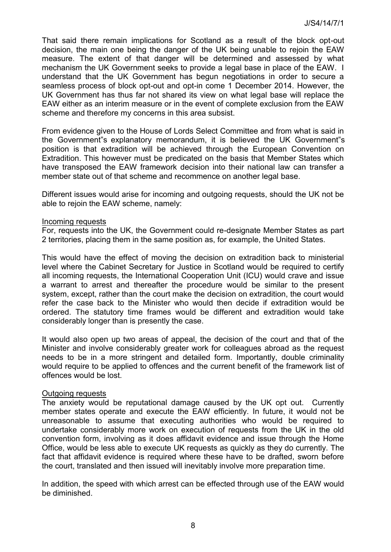That said there remain implications for Scotland as a result of the block opt-out decision, the main one being the danger of the UK being unable to rejoin the EAW measure. The extent of that danger will be determined and assessed by what mechanism the UK Government seeks to provide a legal base in place of the EAW. I understand that the UK Government has begun negotiations in order to secure a seamless process of block opt-out and opt-in come 1 December 2014. However, the UK Government has thus far not shared its view on what legal base will replace the EAW either as an interim measure or in the event of complete exclusion from the EAW scheme and therefore my concerns in this area subsist.

From evidence given to the House of Lords Select Committee and from what is said in the Government"s explanatory memorandum, it is believed the UK Government"s position is that extradition will be achieved through the European Convention on Extradition. This however must be predicated on the basis that Member States which have transposed the EAW framework decision into their national law can transfer a member state out of that scheme and recommence on another legal base.

Different issues would arise for incoming and outgoing requests, should the UK not be able to rejoin the EAW scheme, namely:

#### Incoming requests

For, requests into the UK, the Government could re-designate Member States as part 2 territories, placing them in the same position as, for example, the United States.

This would have the effect of moving the decision on extradition back to ministerial level where the Cabinet Secretary for Justice in Scotland would be required to certify all incoming requests, the International Cooperation Unit (ICU) would crave and issue a warrant to arrest and thereafter the procedure would be similar to the present system, except, rather than the court make the decision on extradition, the court would refer the case back to the Minister who would then decide if extradition would be ordered. The statutory time frames would be different and extradition would take considerably longer than is presently the case.

It would also open up two areas of appeal, the decision of the court and that of the Minister and involve considerably greater work for colleagues abroad as the request needs to be in a more stringent and detailed form. Importantly, double criminality would require to be applied to offences and the current benefit of the framework list of offences would be lost.

#### Outgoing requests

The anxiety would be reputational damage caused by the UK opt out. Currently member states operate and execute the EAW efficiently. In future, it would not be unreasonable to assume that executing authorities who would be required to undertake considerably more work on execution of requests from the UK in the old convention form, involving as it does affidavit evidence and issue through the Home Office, would be less able to execute UK requests as quickly as they do currently. The fact that affidavit evidence is required where these have to be drafted, sworn before the court, translated and then issued will inevitably involve more preparation time.

In addition, the speed with which arrest can be effected through use of the EAW would be diminished.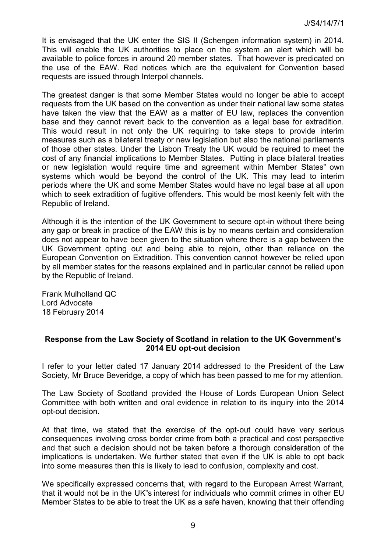It is envisaged that the UK enter the SIS II (Schengen information system) in 2014. This will enable the UK authorities to place on the system an alert which will be available to police forces in around 20 member states. That however is predicated on the use of the EAW. Red notices which are the equivalent for Convention based requests are issued through Interpol channels.

The greatest danger is that some Member States would no longer be able to accept requests from the UK based on the convention as under their national law some states have taken the view that the EAW as a matter of EU law, replaces the convention base and they cannot revert back to the convention as a legal base for extradition. This would result in not only the UK requiring to take steps to provide interim measures such as a bilateral treaty or new legislation but also the national parliaments of those other states. Under the Lisbon Treaty the UK would be required to meet the cost of any financial implications to Member States. Putting in place bilateral treaties or new legislation would require time and agreement within Member States" own systems which would be beyond the control of the UK. This may lead to interim periods where the UK and some Member States would have no legal base at all upon which to seek extradition of fugitive offenders. This would be most keenly felt with the Republic of Ireland.

Although it is the intention of the UK Government to secure opt-in without there being any gap or break in practice of the EAW this is by no means certain and consideration does not appear to have been given to the situation where there is a gap between the UK Government opting out and being able to rejoin, other than reliance on the European Convention on Extradition. This convention cannot however be relied upon by all member states for the reasons explained and in particular cannot be relied upon by the Republic of Ireland.

Frank Mulholland QC Lord Advocate 18 February 2014

#### **Response from the Law Society of Scotland in relation to the UK Government's 2014 EU opt-out decision**

I refer to your letter dated 17 January 2014 addressed to the President of the Law Society, Mr Bruce Beveridge, a copy of which has been passed to me for my attention.

The Law Society of Scotland provided the House of Lords European Union Select Committee with both written and oral evidence in relation to its inquiry into the 2014 opt-out decision.

At that time, we stated that the exercise of the opt-out could have very serious consequences involving cross border crime from both a practical and cost perspective and that such a decision should not be taken before a thorough consideration of the implications is undertaken. We further stated that even if the UK is able to opt back into some measures then this is likely to lead to confusion, complexity and cost.

We specifically expressed concerns that, with regard to the European Arrest Warrant, that it would not be in the UK"s interest for individuals who commit crimes in other EU Member States to be able to treat the UK as a safe haven, knowing that their offending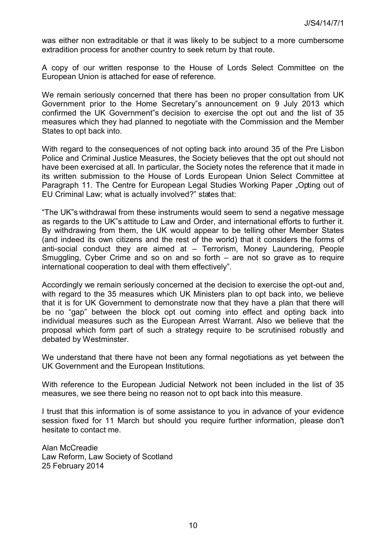was either non extraditable or that it was likely to be subject to a more cumbersome extradition process for another country to seek return by that route.

A copy of our written response to the House of Lords Select Committee on the European Union is attached for ease of reference.

We remain seriously concerned that there has been no proper consultation from UK Government prior to the Home Secretary"s announcement on 9 July 2013 which confirmed the UK Government"s decision to exercise the opt out and the list of 35 measures which they had planned to negotiate with the Commission and the Member States to opt back into.

With regard to the consequences of not opting back into around 35 of the Pre Lisbon Police and Criminal Justice Measures, the Society believes that the opt out should not have been exercised at all. In particular, the Society notes the reference that it made in its written submission to the House of Lords European Union Select Committee at Paragraph 11. The Centre for European Legal Studies Working Paper "Opting out of EU Criminal Law; what is actually involved?" states that:

"The UK"s withdrawal from these instruments would seem to send a negative message as regards to the UK"s attitude to Law and Order, and international efforts to further it. By withdrawing from them, the UK would appear to be telling other Member States (and indeed its own citizens and the rest of the world) that it considers the forms of anti-social conduct they are aimed at – Terrorism, Money Laundering, People Smuggling, Cyber Crime and so on and so forth – are not so grave as to require international cooperation to deal with them effectively".

Accordingly we remain seriously concerned at the decision to exercise the opt-out and, with regard to the 35 measures which UK Ministers plan to opt back into, we believe that it is for UK Government to demonstrate now that they have a plan that there will be no "gap" between the block opt out coming into effect and opting back into individual measures such as the European Arrest Warrant. Also we believe that the proposal which form part of such a strategy require to be scrutinised robustly and debated by Westminster.

We understand that there have not been any formal negotiations as yet between the UK Government and the European Institutions.

With reference to the European Judicial Network not been included in the list of 35 measures, we see there being no reason not to opt back into this measure.

I trust that this information is of some assistance to you in advance of your evidence session fixed for 11 March but should you require further information, please don"t hesitate to contact me.

Alan McCreadie Law Reform, Law Society of Scotland 25 February 2014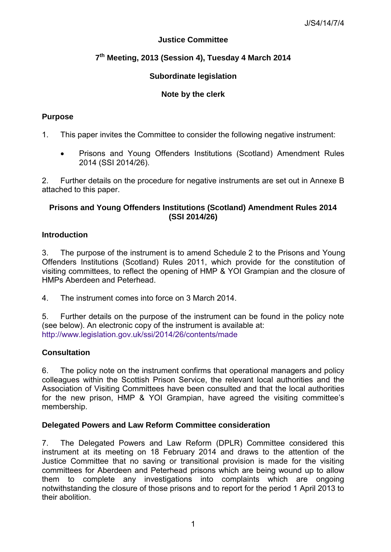# **Justice Committee**

# **7 th Meeting, 2013 (Session 4), Tuesday 4 March 2014**

## **Subordinate legislation**

## **Note by the clerk**

## **Purpose**

1. This paper invites the Committee to consider the following negative instrument:

 Prisons and Young Offenders Institutions (Scotland) Amendment Rules 2014 (SSI 2014/26).

2. Further details on the procedure for negative instruments are set out in Annexe B attached to this paper.

# **Prisons and Young Offenders Institutions (Scotland) Amendment Rules 2014 (SSI 2014/26)**

## **Introduction**

3. The purpose of the instrument is to amend Schedule 2 to the Prisons and Young Offenders Institutions (Scotland) Rules 2011, which provide for the constitution of visiting committees, to reflect the opening of HMP & YOI Grampian and the closure of HMPs Aberdeen and Peterhead.

4. The instrument comes into force on 3 March 2014.

5. Further details on the purpose of the instrument can be found in the policy note (see below). An electronic copy of the instrument is available at: <http://www.legislation.gov.uk/ssi/2014/26/contents/made>

## **Consultation**

6. The policy note on the instrument confirms that operational managers and policy colleagues within the Scottish Prison Service, the relevant local authorities and the Association of Visiting Committees have been consulted and that the local authorities for the new prison, HMP & YOI Grampian, have agreed the visiting committee's membership.

## **Delegated Powers and Law Reform Committee consideration**

7. The Delegated Powers and Law Reform (DPLR) Committee considered this instrument at its meeting on 18 February 2014 and draws to the attention of the Justice Committee that no saving or transitional provision is made for the visiting committees for Aberdeen and Peterhead prisons which are being wound up to allow them to complete any investigations into complaints which are ongoing notwithstanding the closure of those prisons and to report for the period 1 April 2013 to their abolition.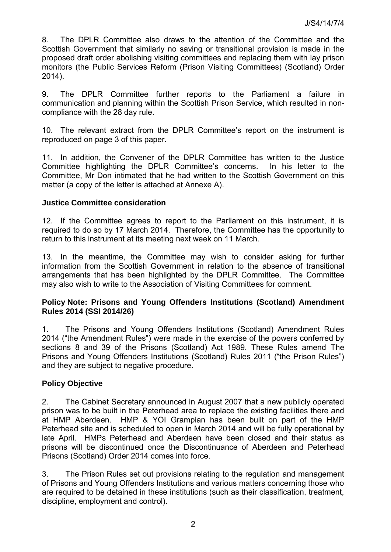8. The DPLR Committee also draws to the attention of the Committee and the Scottish Government that similarly no saving or transitional provision is made in the proposed draft order abolishing visiting committees and replacing them with lay prison monitors (the Public Services Reform (Prison Visiting Committees) (Scotland) Order 2014).

9. The DPLR Committee further reports to the Parliament a failure in communication and planning within the Scottish Prison Service, which resulted in noncompliance with the 28 day rule.

10. The relevant extract from the DPLR Committee's report on the instrument is reproduced on page 3 of this paper.

11. In addition, the Convener of the DPLR Committee has written to the Justice Committee highlighting the DPLR Committee's concerns. In his letter to the Committee, Mr Don intimated that he had written to the Scottish Government on this matter (a copy of the letter is attached at Annexe A).

## **Justice Committee consideration**

12. If the Committee agrees to report to the Parliament on this instrument, it is required to do so by 17 March 2014. Therefore, the Committee has the opportunity to return to this instrument at its meeting next week on 11 March.

13. In the meantime, the Committee may wish to consider asking for further information from the Scottish Government in relation to the absence of transitional arrangements that has been highlighted by the DPLR Committee. The Committee may also wish to write to the Association of Visiting Committees for comment.

## **Policy Note: Prisons and Young Offenders Institutions (Scotland) Amendment Rules 2014 (SSI 2014/26)**

1. The Prisons and Young Offenders Institutions (Scotland) Amendment Rules 2014 ("the Amendment Rules") were made in the exercise of the powers conferred by sections 8 and 39 of the Prisons (Scotland) Act 1989. These Rules amend The Prisons and Young Offenders Institutions (Scotland) Rules 2011 ("the Prison Rules") and they are subject to negative procedure.

# **Policy Objective**

2. The Cabinet Secretary announced in August 2007 that a new publicly operated prison was to be built in the Peterhead area to replace the existing facilities there and at HMP Aberdeen. HMP & YOI Grampian has been built on part of the HMP Peterhead site and is scheduled to open in March 2014 and will be fully operational by late April. HMPs Peterhead and Aberdeen have been closed and their status as prisons will be discontinued once the Discontinuance of Aberdeen and Peterhead Prisons (Scotland) Order 2014 comes into force.

3. The Prison Rules set out provisions relating to the regulation and management of Prisons and Young Offenders Institutions and various matters concerning those who are required to be detained in these institutions (such as their classification, treatment, discipline, employment and control).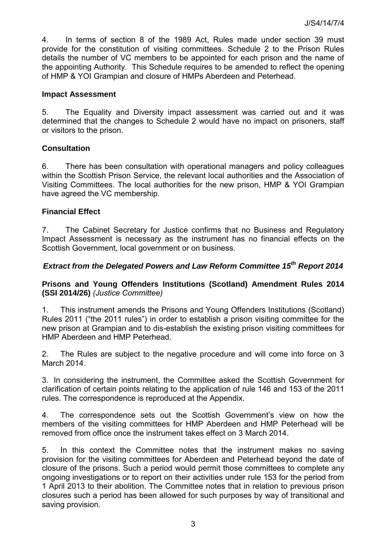4. In terms of section 8 of the 1989 Act, Rules made under section 39 must provide for the constitution of visiting committees. Schedule 2 to the Prison Rules details the number of VC members to be appointed for each prison and the name of the appointing Authority. This Schedule requires to be amended to reflect the opening of HMP & YOI Grampian and closure of HMPs Aberdeen and Peterhead.

#### **Impact Assessment**

5. The Equality and Diversity impact assessment was carried out and it was determined that the changes to Schedule 2 would have no impact on prisoners, staff or visitors to the prison.

## **Consultation**

6. There has been consultation with operational managers and policy colleagues within the Scottish Prison Service, the relevant local authorities and the Association of Visiting Committees. The local authorities for the new prison, HMP & YOI Grampian have agreed the VC membership.

#### **Financial Effect**

7. The Cabinet Secretary for Justice confirms that no Business and Regulatory Impact Assessment is necessary as the instrument has no financial effects on the Scottish Government, local government or on business.

# *Extract from the Delegated Powers and Law Reform Committee 15th Report 2014*

**Prisons and Young Offenders Institutions (Scotland) Amendment Rules 2014 (SSI 2014/26)** *(Justice Committee)*

1. This instrument amends the Prisons and Young Offenders Institutions (Scotland) Rules 2011 ("the 2011 rules") in order to establish a prison visiting committee for the new prison at Grampian and to dis-establish the existing prison visiting committees for HMP Aberdeen and HMP Peterhead.

2. The Rules are subject to the negative procedure and will come into force on 3 March 2014.

3. In considering the instrument, the Committee asked the Scottish Government for clarification of certain points relating to the application of rule 146 and 153 of the 2011 rules. The correspondence is reproduced at the Appendix.

4. The correspondence sets out the Scottish Government's view on how the members of the visiting committees for HMP Aberdeen and HMP Peterhead will be removed from office once the instrument takes effect on 3 March 2014.

5. In this context the Committee notes that the instrument makes no saving provision for the visiting committees for Aberdeen and Peterhead beyond the date of closure of the prisons. Such a period would permit those committees to complete any ongoing investigations or to report on their activities under rule 153 for the period from 1 April 2013 to their abolition. The Committee notes that in relation to previous prison closures such a period has been allowed for such purposes by way of transitional and saving provision.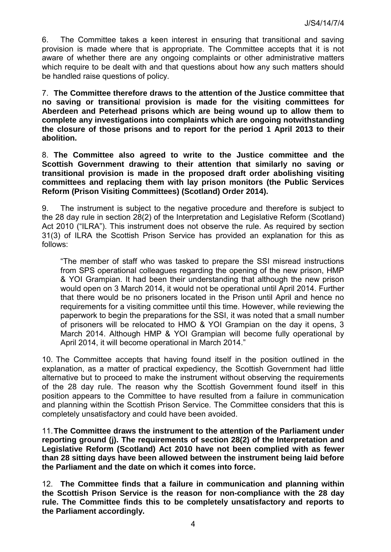6. The Committee takes a keen interest in ensuring that transitional and saving provision is made where that is appropriate. The Committee accepts that it is not aware of whether there are any ongoing complaints or other administrative matters which require to be dealt with and that questions about how any such matters should be handled raise questions of policy.

7. **The Committee therefore draws to the attention of the Justice committee that no saving or transitiona**l **provision is made for the visiting committees for Aberdeen and Peterhead prisons which are being wound up to allow them to complete any investigations into complaints which are ongoing notwithstanding the closure of those prisons and to report for the period 1 April 2013 to their abolition.** 

8. **The Committee also agreed to write to the Justice committee and the Scottish Government drawing to their attention that similarly no saving or transitional provision is made in the proposed draft order abolishing visiting committees and replacing them with lay prison monitors (the Public Services Reform (Prison Visiting Committees) (Scotland) Order 2014).** 

9. The instrument is subject to the negative procedure and therefore is subject to the 28 day rule in section 28(2) of the Interpretation and Legislative Reform (Scotland) Act 2010 ("ILRA"). This instrument does not observe the rule. As required by section 31(3) of ILRA the Scottish Prison Service has provided an explanation for this as follows:

"The member of staff who was tasked to prepare the SSI misread instructions from SPS operational colleagues regarding the opening of the new prison, HMP & YOI Grampian. It had been their understanding that although the new prison would open on 3 March 2014, it would not be operational until April 2014. Further that there would be no prisoners located in the Prison until April and hence no requirements for a visiting committee until this time. However, while reviewing the paperwork to begin the preparations for the SSI, it was noted that a small number of prisoners will be relocated to HMO & YOI Grampian on the day it opens, 3 March 2014. Although HMP & YOI Grampian will become fully operational by April 2014, it will become operational in March 2014."

10. The Committee accepts that having found itself in the position outlined in the explanation, as a matter of practical expediency, the Scottish Government had little alternative but to proceed to make the instrument without observing the requirements of the 28 day rule. The reason why the Scottish Government found itself in this position appears to the Committee to have resulted from a failure in communication and planning within the Scottish Prison Service. The Committee considers that this is completely unsatisfactory and could have been avoided.

11.**The Committee draws the instrument to the attention of the Parliament under reporting ground (j). The requirements of section 28(2) of the Interpretation and Legislative Reform (Scotland) Act 2010 have not been complied with as fewer than 28 sitting days have been allowed between the instrument being laid before the Parliament and the date on which it comes into force.** 

12. **The Committee finds that a failure in communication and planning within the Scottish Prison Service is the reason for non-compliance with the 28 day rule. The Committee finds this to be completely unsatisfactory and reports to the Parliament accordingly.**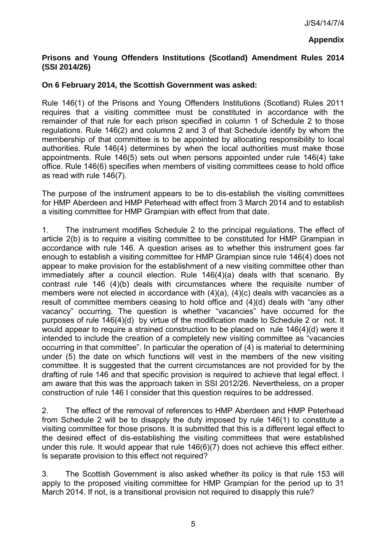## **Appendix**

# **Prisons and Young Offenders Institutions (Scotland) Amendment Rules 2014 (SSI 2014/26)**

## **On 6 February 2014, the Scottish Government was asked:**

Rule 146(1) of the Prisons and Young Offenders Institutions (Scotland) Rules 2011 requires that a visiting committee must be constituted in accordance with the remainder of that rule for each prison specified in column 1 of Schedule 2 to those regulations. Rule 146(2) and columns 2 and 3 of that Schedule identify by whom the membership of that committee is to be appointed by allocating responsibility to local authorities. Rule 146(4) determines by when the local authorities must make those appointments. Rule 146(5) sets out when persons appointed under rule 146(4) take office. Rule 146(6) specifies when members of visiting committees cease to hold office as read with rule 146(7).

The purpose of the instrument appears to be to dis-establish the visiting committees for HMP Aberdeen and HMP Peterhead with effect from 3 March 2014 and to establish a visiting committee for HMP Grampian with effect from that date.

1. The instrument modifies Schedule 2 to the principal regulations. The effect of article 2(b) is to require a visiting committee to be constituted for HMP Grampian in accordance with rule 146. A question arises as to whether this instrument goes far enough to establish a visiting committee for HMP Grampian since rule 146(4) does not appear to make provision for the establishment of a new visiting committee other than immediately after a council election. Rule 146(4)(a) deals with that scenario. By contrast rule 146 (4)(b) deals with circumstances where the requisite number of members were not elected in accordance with (4)(a), (4)(c) deals with vacancies as a result of committee members ceasing to hold office and (4)(d) deals with "any other vacancy" occurring. The question is whether "vacancies" have occurred for the purposes of rule 146(4)(d) by virtue of the modification made to Schedule 2 or not. It would appear to require a strained construction to be placed on rule 146(4)(d) were it intended to include the creation of a completely new visiting committee as "vacancies occurring in that committee". In particular the operation of (4) is material to determining under (5) the date on which functions will vest in the members of the new visiting committee. It is suggested that the current circumstances are not provided for by the drafting of rule 146 and that specific provision is required to achieve that legal effect. I am aware that this was the approach taken in SSI 2012/26. Nevertheless, on a proper construction of rule 146 I consider that this question requires to be addressed.

2. The effect of the removal of references to HMP Aberdeen and HMP Peterhead from Schedule 2 will be to disapply the duty imposed by rule 146(1) to constitute a visiting committee for those prisons. It is submitted that this is a different legal effect to the desired effect of dis-establishing the visiting committees that were established under this rule. It would appear that rule 146(6)(7) does not achieve this effect either. Is separate provision to this effect not required?

3. The Scottish Government is also asked whether its policy is that rule 153 will apply to the proposed visiting committee for HMP Grampian for the period up to 31 March 2014. If not, is a transitional provision not required to disapply this rule?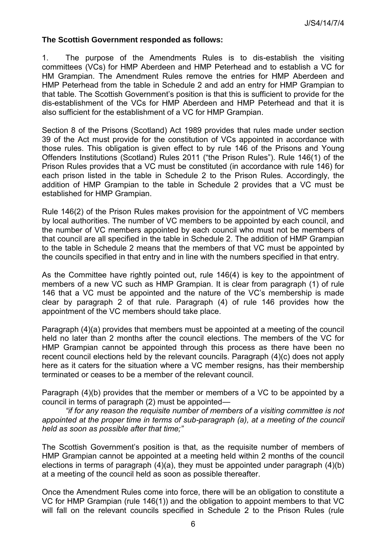#### **The Scottish Government responded as follows:**

1. The purpose of the Amendments Rules is to dis-establish the visiting committees (VCs) for HMP Aberdeen and HMP Peterhead and to establish a VC for HM Grampian. The Amendment Rules remove the entries for HMP Aberdeen and HMP Peterhead from the table in Schedule 2 and add an entry for HMP Grampian to that table. The Scottish Government's position is that this is sufficient to provide for the dis-establishment of the VCs for HMP Aberdeen and HMP Peterhead and that it is also sufficient for the establishment of a VC for HMP Grampian.

Section 8 of the Prisons (Scotland) Act 1989 provides that rules made under section 39 of the Act must provide for the constitution of VCs appointed in accordance with those rules. This obligation is given effect to by rule 146 of the Prisons and Young Offenders Institutions (Scotland) Rules 2011 ("the Prison Rules"). Rule 146(1) of the Prison Rules provides that a VC must be constituted (in accordance with rule 146) for each prison listed in the table in Schedule 2 to the Prison Rules. Accordingly, the addition of HMP Grampian to the table in Schedule 2 provides that a VC must be established for HMP Grampian.

Rule 146(2) of the Prison Rules makes provision for the appointment of VC members by local authorities. The number of VC members to be appointed by each council, and the number of VC members appointed by each council who must not be members of that council are all specified in the table in Schedule 2. The addition of HMP Grampian to the table in Schedule 2 means that the members of that VC must be appointed by the councils specified in that entry and in line with the numbers specified in that entry.

As the Committee have rightly pointed out, rule 146(4) is key to the appointment of members of a new VC such as HMP Grampian. It is clear from paragraph (1) of rule 146 that a VC must be appointed and the nature of the VC's membership is made clear by paragraph 2 of that rule. Paragraph (4) of rule 146 provides how the appointment of the VC members should take place.

Paragraph (4)(a) provides that members must be appointed at a meeting of the council held no later than 2 months after the council elections. The members of the VC for HMP Grampian cannot be appointed through this process as there have been no recent council elections held by the relevant councils. Paragraph (4)(c) does not apply here as it caters for the situation where a VC member resigns, has their membership terminated or ceases to be a member of the relevant council.

Paragraph (4)(b) provides that the member or members of a VC to be appointed by a council in terms of paragraph (2) must be appointed—

 *"if for any reason the requisite number of members of a visiting committee is not appointed at the proper time in terms of sub-paragraph (a), at a meeting of the council held as soon as possible after that time;"* 

The Scottish Government's position is that, as the requisite number of members of HMP Grampian cannot be appointed at a meeting held within 2 months of the council elections in terms of paragraph (4)(a), they must be appointed under paragraph (4)(b) at a meeting of the council held as soon as possible thereafter.

Once the Amendment Rules come into force, there will be an obligation to constitute a VC for HMP Grampian (rule 146(1)) and the obligation to appoint members to that VC will fall on the relevant councils specified in Schedule 2 to the Prison Rules (rule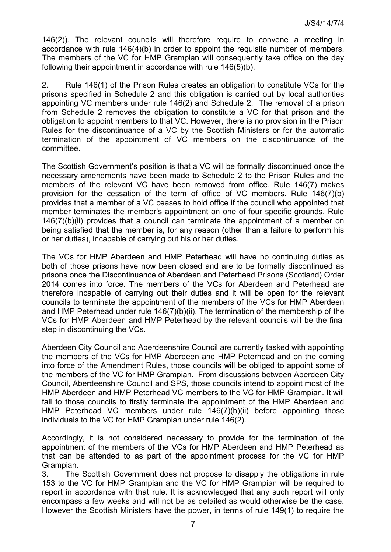146(2)). The relevant councils will therefore require to convene a meeting in accordance with rule 146(4)(b) in order to appoint the requisite number of members. The members of the VC for HMP Grampian will consequently take office on the day following their appointment in accordance with rule 146(5)(b).

2. Rule 146(1) of the Prison Rules creates an obligation to constitute VCs for the prisons specified in Schedule 2 and this obligation is carried out by local authorities appointing VC members under rule 146(2) and Schedule 2. The removal of a prison from Schedule 2 removes the obligation to constitute a VC for that prison and the obligation to appoint members to that VC. However, there is no provision in the Prison Rules for the discontinuance of a VC by the Scottish Ministers or for the automatic termination of the appointment of VC members on the discontinuance of the committee.

The Scottish Government's position is that a VC will be formally discontinued once the necessary amendments have been made to Schedule 2 to the Prison Rules and the members of the relevant VC have been removed from office. Rule 146(7) makes provision for the cessation of the term of office of VC members. Rule 146(7)(b) provides that a member of a VC ceases to hold office if the council who appointed that member terminates the member's appointment on one of four specific grounds. Rule 146(7)(b)(ii) provides that a council can terminate the appointment of a member on being satisfied that the member is, for any reason (other than a failure to perform his or her duties), incapable of carrying out his or her duties.

The VCs for HMP Aberdeen and HMP Peterhead will have no continuing duties as both of those prisons have now been closed and are to be formally discontinued as prisons once the Discontinuance of Aberdeen and Peterhead Prisons (Scotland) Order 2014 comes into force. The members of the VCs for Aberdeen and Peterhead are therefore incapable of carrying out their duties and it will be open for the relevant councils to terminate the appointment of the members of the VCs for HMP Aberdeen and HMP Peterhead under rule 146(7)(b)(ii). The termination of the membership of the VCs for HMP Aberdeen and HMP Peterhead by the relevant councils will be the final step in discontinuing the VCs.

Aberdeen City Council and Aberdeenshire Council are currently tasked with appointing the members of the VCs for HMP Aberdeen and HMP Peterhead and on the coming into force of the Amendment Rules, those councils will be obliged to appoint some of the members of the VC for HMP Grampian. From discussions between Aberdeen City Council, Aberdeenshire Council and SPS, those councils intend to appoint most of the HMP Aberdeen and HMP Peterhead VC members to the VC for HMP Grampian. It will fall to those councils to firstly terminate the appointment of the HMP Aberdeen and HMP Peterhead VC members under rule 146(7)(b)(ii) before appointing those individuals to the VC for HMP Grampian under rule 146(2).

Accordingly, it is not considered necessary to provide for the termination of the appointment of the members of the VCs for HMP Aberdeen and HMP Peterhead as that can be attended to as part of the appointment process for the VC for HMP Grampian.

3. The Scottish Government does not propose to disapply the obligations in rule 153 to the VC for HMP Grampian and the VC for HMP Grampian will be required to report in accordance with that rule. It is acknowledged that any such report will only encompass a few weeks and will not be as detailed as would otherwise be the case. However the Scottish Ministers have the power, in terms of rule 149(1) to require the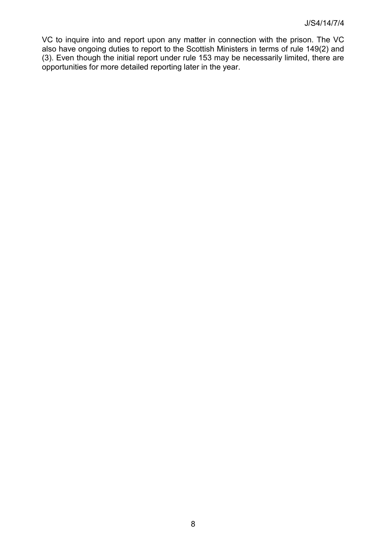VC to inquire into and report upon any matter in connection with the prison. The VC also have ongoing duties to report to the Scottish Ministers in terms of rule 149(2) and (3). Even though the initial report under rule 153 may be necessarily limited, there are opportunities for more detailed reporting later in the year.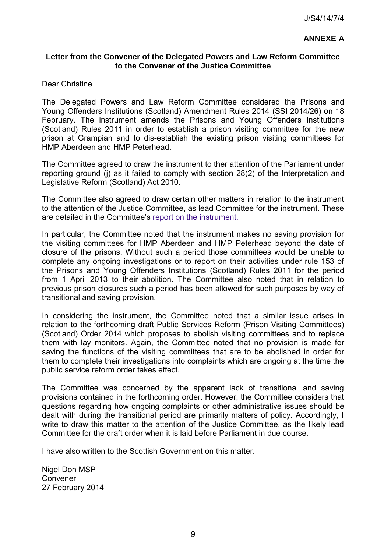## **ANNEXE A**

## **Letter from the Convener of the Delegated Powers and Law Reform Committee to the Convener of the Justice Committee**

#### Dear Christine

The Delegated Powers and Law Reform Committee considered the Prisons and Young Offenders Institutions (Scotland) Amendment Rules 2014 (SSI 2014/26) on 18 February. The instrument amends the Prisons and Young Offenders Institutions (Scotland) Rules 2011 in order to establish a prison visiting committee for the new prison at Grampian and to dis-establish the existing prison visiting committees for HMP Aberdeen and HMP Peterhead.

The Committee agreed to draw the instrument to ther attention of the Parliament under reporting ground (j) as it failed to comply with section 28(2) of the Interpretation and Legislative Reform (Scotland) Act 2010.

The Committee also agreed to draw certain other matters in relation to the instrument to the attention of the Justice Committee, as lead Committee for the instrument. These are detailed in the Committee's [report on the instrument.](http://www.scottish.parliament.uk/parliamentarybusiness/CurrentCommittees/73303.aspx)

In particular, the Committee noted that the instrument makes no saving provision for the visiting committees for HMP Aberdeen and HMP Peterhead beyond the date of closure of the prisons. Without such a period those committees would be unable to complete any ongoing investigations or to report on their activities under rule 153 of the Prisons and Young Offenders Institutions (Scotland) Rules 2011 for the period from 1 April 2013 to their abolition. The Committee also noted that in relation to previous prison closures such a period has been allowed for such purposes by way of transitional and saving provision.

In considering the instrument, the Committee noted that a similar issue arises in relation to the forthcoming draft Public Services Reform (Prison Visiting Committees) (Scotland) Order 2014 which proposes to abolish visiting committees and to replace them with lay monitors. Again, the Committee noted that no provision is made for saving the functions of the visiting committees that are to be abolished in order for them to complete their investigations into complaints which are ongoing at the time the public service reform order takes effect.

The Committee was concerned by the apparent lack of transitional and saving provisions contained in the forthcoming order. However, the Committee considers that questions regarding how ongoing complaints or other administrative issues should be dealt with during the transitional period are primarily matters of policy. Accordingly, I write to draw this matter to the attention of the Justice Committee, as the likely lead Committee for the draft order when it is laid before Parliament in due course.

I have also written to the Scottish Government on this matter.

Nigel Don MSP Convener 27 February 2014